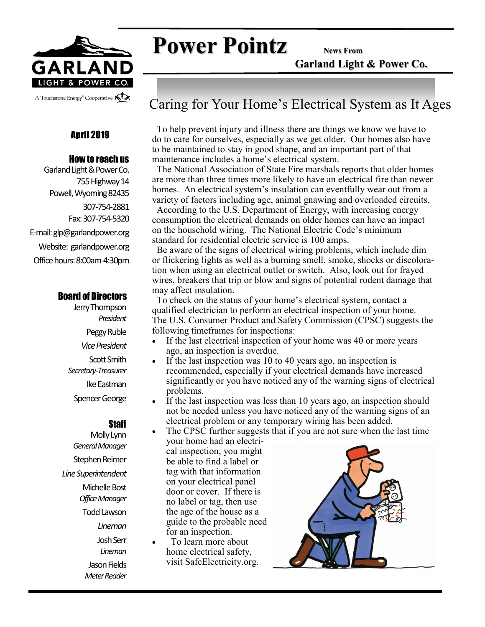

# **Power Pointz News From**

**Garland Light & Power Co.**

### April 2019

#### How to reach us

Garland Light & Power Co. 755 Highway 14 Powell, Wyoming 82435 307-754-2881 Fax: 307-754-5320 E-mail: glp@garlandpower.org Website: garlandpower.org Office hours: 8:00am-4:30pm

#### Board of Directors

Jerry Thompson *President* Peggy Ruble *Vice President* Scott Smith *Secretary-Treasurer* Ike Eastman Spencer George

#### **Staff**

Molly Lynn *General Manager* Stephen Reimer *Line Superintendent* Michelle Bost *Office Manager* Todd Lawson *Lineman* Josh Serr *Lineman* Jason Fields *Meter Reader*

## Caring for Your Home's Electrical System as It Ages

 To help prevent injury and illness there are things we know we have to do to care for ourselves, especially as we get older. Our homes also have to be maintained to stay in good shape, and an important part of that maintenance includes a home's electrical system.

 The National Association of State Fire marshals reports that older homes are more than three times more likely to have an electrical fire than newer homes. An electrical system's insulation can eventfully wear out from a variety of factors including age, animal gnawing and overloaded circuits.

 According to the U.S. Department of Energy, with increasing energy consumption the electrical demands on older homes can have an impact on the household wiring. The National Electric Code's minimum standard for residential electric service is 100 amps.

 Be aware of the signs of electrical wiring problems, which include dim or flickering lights as well as a burning smell, smoke, shocks or discoloration when using an electrical outlet or switch. Also, look out for frayed wires, breakers that trip or blow and signs of potential rodent damage that may affect insulation.

 To check on the status of your home's electrical system, contact a qualified electrician to perform an electrical inspection of your home. The U.S. Consumer Product and Safety Commission (CPSC) suggests the following timeframes for inspections:

- If the last electrical inspection of your home was 40 or more years ago, an inspection is overdue.
- If the last inspection was 10 to 40 years ago, an inspection is recommended, especially if your electrical demands have increased significantly or you have noticed any of the warning signs of electrical problems.
- If the last inspection was less than 10 years ago, an inspection should not be needed unless you have noticed any of the warning signs of an electrical problem or any temporary wiring has been added.
- The CPSC further suggests that if you are not sure when the last time your home had an electrical inspection, you might be able to find a label or tag with that information on your electrical panel door or cover. If there is no label or tag, then use the age of the house as a guide to the probable need for an inspection.
	- To learn more about home electrical safety, visit SafeElectricity.org.

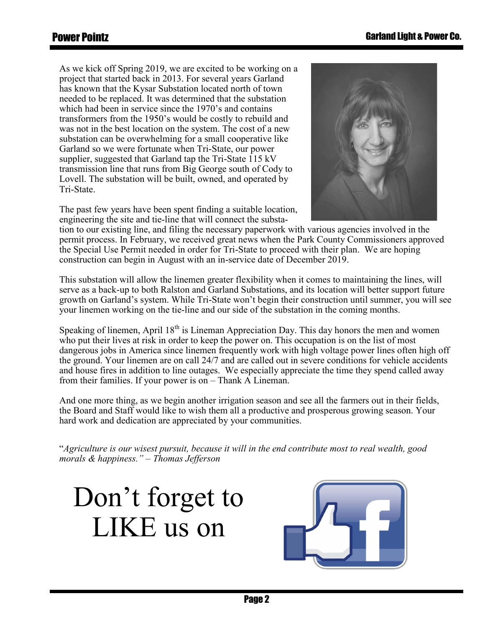As we kick off Spring 2019, we are excited to be working on a project that started back in 2013. For several years Garland has known that the Kysar Substation located north of town needed to be replaced. It was determined that the substation which had been in service since the 1970's and contains transformers from the 1950's would be costly to rebuild and was not in the best location on the system. The cost of a new substation can be overwhelming for a small cooperative like Garland so we were fortunate when Tri-State, our power supplier, suggested that Garland tap the Tri-State 115 kV transmission line that runs from Big George south of Cody to Lovell. The substation will be built, owned, and operated by Tri-State.



The past few years have been spent finding a suitable location, engineering the site and tie-line that will connect the substa-

tion to our existing line, and filing the necessary paperwork with various agencies involved in the permit process. In February, we received great news when the Park County Commissioners approved the Special Use Permit needed in order for Tri-State to proceed with their plan. We are hoping construction can begin in August with an in-service date of December 2019.

This substation will allow the linemen greater flexibility when it comes to maintaining the lines, will serve as a back-up to both Ralston and Garland Substations, and its location will better support future growth on Garland's system. While Tri-State won't begin their construction until summer, you will see your linemen working on the tie-line and our side of the substation in the coming months.

Speaking of linemen, April  $18<sup>th</sup>$  is Lineman Appreciation Day. This day honors the men and women who put their lives at risk in order to keep the power on. This occupation is on the list of most dangerous jobs in America since linemen frequently work with high voltage power lines often high off the ground. Your linemen are on call 24/7 and are called out in severe conditions for vehicle accidents and house fires in addition to line outages. We especially appreciate the time they spend called away from their families. If your power is on – Thank A Lineman.

And one more thing, as we begin another irrigation season and see all the farmers out in their fields, the Board and Staff would like to wish them all a productive and prosperous growing season. Your hard work and dedication are appreciated by your communities.

"*Agriculture is our wisest pursuit, because it will in the end contribute most to real wealth, good morals & happiness." – Thomas Jefferson*

Don't forget to LIKE us on

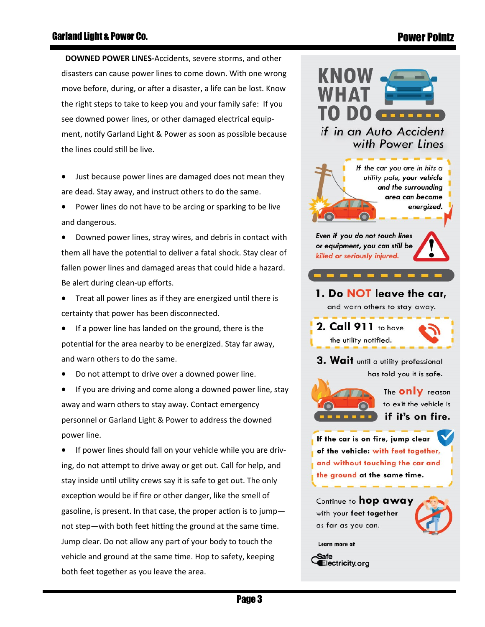## Power Pointz

 **DOWNED POWER LINES-**Accidents, severe storms, and other disasters can cause power lines to come down. With one wrong move before, during, or after a disaster, a life can be lost. Know the right steps to take to keep you and your family safe: If you see downed power lines, or other damaged electrical equipment, notify Garland Light & Power as soon as possible because the lines could still be live.

Just because power lines are damaged does not mean they are dead. Stay away, and instruct others to do the same.

• Power lines do not have to be arcing or sparking to be live and dangerous.

• Downed power lines, stray wires, and debris in contact with them all have the potential to deliver a fatal shock. Stay clear of fallen power lines and damaged areas that could hide a hazard. Be alert during clean-up efforts.

• Treat all power lines as if they are energized until there is certainty that power has been disconnected.

If a power line has landed on the ground, there is the potential for the area nearby to be energized. Stay far away, and warn others to do the same.

• Do not attempt to drive over a downed power line.

If you are driving and come along a downed power line, stay away and warn others to stay away. Contact emergency personnel or Garland Light & Power to address the downed power line.

If power lines should fall on your vehicle while you are driving, do not attempt to drive away or get out. Call for help, and stay inside until utility crews say it is safe to get out. The only exception would be if fire or other danger, like the smell of gasoline, is present. In that case, the proper action is to jump not step—with both feet hitting the ground at the same time. Jump clear. Do not allow any part of your body to touch the vehicle and ground at the same time. Hop to safety, keeping both feet together as you leave the area.